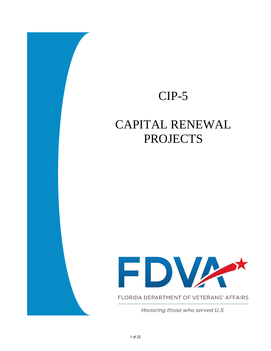# CIP-5

# CAPITAL RENEWAL **PROJECTS**



FLORIDA DEPARTMENT OF VETERANS' AFFAIRS

Honoring those who served U.S.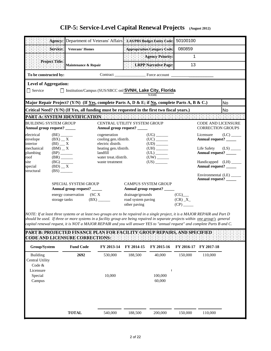|                                                                                                       |                                                                                                                                                                                                              |                                                                                                                                             | Agency: Department of Veterans' Affairs   LAS/PBS Budget Entity Code:                                               | 50100100                                                                                                                     |                                 |
|-------------------------------------------------------------------------------------------------------|--------------------------------------------------------------------------------------------------------------------------------------------------------------------------------------------------------------|---------------------------------------------------------------------------------------------------------------------------------------------|---------------------------------------------------------------------------------------------------------------------|------------------------------------------------------------------------------------------------------------------------------|---------------------------------|
|                                                                                                       | Service:                                                                                                                                                                                                     | <b>Veterans' Homes</b>                                                                                                                      | Appropriation Category Code:                                                                                        | 080859                                                                                                                       |                                 |
|                                                                                                       |                                                                                                                                                                                                              |                                                                                                                                             | <b>Agency Priority:</b>                                                                                             | 1                                                                                                                            |                                 |
|                                                                                                       | Project:Title:                                                                                                                                                                                               | Maintenance & Repair                                                                                                                        | LRPP Narrative Page:                                                                                                | 13                                                                                                                           |                                 |
| To be constructed by:                                                                                 |                                                                                                                                                                                                              |                                                                                                                                             |                                                                                                                     |                                                                                                                              |                                 |
| <b>Level of Aggregation:</b>                                                                          |                                                                                                                                                                                                              |                                                                                                                                             |                                                                                                                     |                                                                                                                              |                                 |
| $\Box$ Service                                                                                        |                                                                                                                                                                                                              |                                                                                                                                             | □ Institution/Campus (SUS/SBCC onl SVNH, Lake City, Florida<br><b>NAME</b>                                          |                                                                                                                              |                                 |
|                                                                                                       |                                                                                                                                                                                                              |                                                                                                                                             | Major Repair Project? (Y/N) (If Yes, complete Parts A, D & E; if No, complete Parts A, B & C.)                      |                                                                                                                              | N <sub>o</sub>                  |
|                                                                                                       |                                                                                                                                                                                                              |                                                                                                                                             | Critical Need? (Y/N) (If Yes, all funding must be requested in the first two fiscal years.)                         |                                                                                                                              | No                              |
|                                                                                                       |                                                                                                                                                                                                              |                                                                                                                                             | PART A: SYSTEM IDENTIFICATION FOR ENERGY ENERGY ENERGY THE ENERGY ENERGY ENERGY                                     |                                                                                                                              |                                 |
| <b>BUILDING SYSTEM GROUP</b><br>Annual group request? ____                                            |                                                                                                                                                                                                              |                                                                                                                                             | CENTRAL UTILITY SYSTEM GROUP<br>Annual group request? _____                                                         | <b>CODE AND LICENSURE</b><br><b>CORRECTION GROUPS</b>                                                                        |                                 |
| electrical<br>envelope<br>interior<br>mechanical<br>plumbing<br>roof<br>site<br>special<br>structural | $(BE)$ <sub>_______</sub><br>$(BX)$ _ X<br>$(BI)$ __ X<br>$(BM)$ $\_$ X<br>$(BP)$ <sub>______</sub><br>$(BR)$ <sub>_______</sub><br>$(BG)$ <sub>_______</sub><br>$(BD)$ $\_\ X$<br>$(BS)$ <sub>_______</sub> | cogeneration<br>cooling gen./distrib.<br>electric distrib.<br>heating gen./distrib.<br>landfill<br>water treat./distrib.<br>waste treatment | $(US)$ <sub>________</sub>                                                                                          | Licensure<br>Annual request? _____<br>Life Safety<br>Annual request? _____<br>Handicapped (LH) ____<br>Annual request? _____ | $(LC)$ <sub>_____</sub><br>(LS) |
|                                                                                                       | storage tanks                                                                                                                                                                                                | <b>SPECIAL SYSTEM GROUP</b><br>Annual group request? _____<br>energy conservation (SCX<br>(BX)                                              | <b>CAMPUS SYSTEM GROUP</b><br>Annual group request? _____<br>drainage/grounds<br>road system paving<br>other paving | Environmental (LE)<br>Annual request?<br>(CG)<br>$(CR)$ _X_<br>(CP)                                                          |                                 |

*NOTE: If at least three systems or at least two groups are to be repaired in a single project, it is a MAJOR REPAIR and Part D should be used. If three or more systems in a facility group are being repaired in separate projects within one group's general capital renewal request, it is NOT a MAJOR REPAIR and you will answer YES to "annual request" and complete Parts B and C.*

| Group/System    | <b>Fund Code</b> | FY 2013-14 | FY 2014-15 | FY 2015-16 | FY 2016-17 | FY 2017-18 |
|-----------------|------------------|------------|------------|------------|------------|------------|
| <b>Building</b> | 2692             | 530,000    | 188,500    | 40,000     | 150,000    | 110,000    |
| Central Utility |                  |            |            |            |            |            |
| Code $&$        |                  |            |            |            |            |            |
| Licensure       |                  |            |            |            |            |            |
| Special         |                  | 10,000     |            | 100,000    |            |            |
| Campus          |                  |            |            | 60,000     |            |            |
|                 |                  |            |            |            |            |            |
|                 |                  |            |            |            |            |            |
|                 |                  |            |            |            |            |            |
|                 |                  |            |            |            |            |            |
|                 | <b>TOTAL</b>     | 540,000    | 188,500    | 200,000    | 150,000    | 110,000    |
|                 |                  |            |            |            |            |            |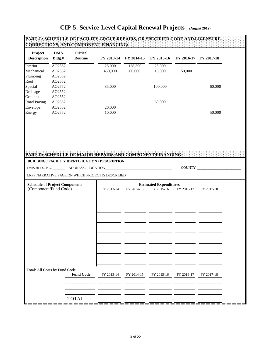| Project<br><b>Description</b>         | <b>DMS</b><br>Bldg.# | <b>Critical</b><br>Routine | FY 2013-14                                                                                                     | FY 2014-15 | FY 2015-16                    |            | FY 2016-17 FY 2017-18 |
|---------------------------------------|----------------------|----------------------------|----------------------------------------------------------------------------------------------------------------|------------|-------------------------------|------------|-----------------------|
| Interior                              | AO2552               |                            | 25,000                                                                                                         | 128,500    | 25,000                        |            |                       |
| Mechanical                            | AO2552               |                            | 450,000                                                                                                        | 60,000     | 15,000                        | 150,000    |                       |
| Plumbing                              | AO2552               |                            |                                                                                                                |            |                               |            |                       |
| Roof                                  | AO2552               |                            |                                                                                                                |            |                               |            |                       |
| Special                               | AO2552               |                            | 35,000                                                                                                         |            | 100,000                       |            | 60,000                |
| Drainage                              | AO2552               |                            |                                                                                                                |            |                               |            |                       |
| Grounds                               | AO2552               |                            |                                                                                                                |            |                               |            |                       |
| <b>Road Paving</b>                    | AO2552               |                            |                                                                                                                |            | 60,000                        |            |                       |
| Envelope<br>Energy                    | AO2552<br>AO2552     |                            | 20,000<br>10,000                                                                                               |            |                               |            | 50,000                |
|                                       |                      |                            |                                                                                                                |            |                               |            |                       |
|                                       |                      |                            | PART D. SCHEDULE OF MAJOR REPAIRS AND COMPONENT FINANCING:<br>BUILDING / FACILITY IDENTIFICATION / DESCRIPTION |            |                               |            | COUNTY                |
|                                       |                      |                            | LRPP NARRATIVE PAGE ON WHICH PROJECT IS DESCRIBED ____________                                                 |            |                               |            |                       |
| <b>Schedule of Project Components</b> |                      |                            |                                                                                                                |            | <b>Estimated Expenditures</b> |            |                       |
| (Component/Fund Code)                 |                      |                            | FY 2013-14                                                                                                     | FY 2014-15 | FY 2015-16                    | FY 2016-17 | FY 2017-18            |
|                                       |                      |                            |                                                                                                                |            |                               |            |                       |
|                                       |                      |                            |                                                                                                                |            |                               |            |                       |
|                                       |                      |                            |                                                                                                                |            |                               |            |                       |
|                                       |                      |                            |                                                                                                                |            |                               |            |                       |
|                                       |                      |                            |                                                                                                                |            |                               |            |                       |
|                                       |                      |                            |                                                                                                                |            |                               |            |                       |
|                                       |                      |                            |                                                                                                                |            |                               |            |                       |
|                                       |                      |                            |                                                                                                                |            |                               |            |                       |
| Total: All Costs by Fund Code         |                      | <b>Fund Code</b>           | FY 2013-14                                                                                                     | FY 2014-15 | FY 2015-16                    | FY 2016-17 | FY 2017-18            |
|                                       |                      |                            |                                                                                                                |            |                               |            |                       |
|                                       |                      | <b>TOTAL</b>               |                                                                                                                |            |                               |            |                       |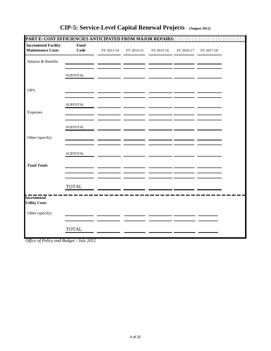| <b>Incremental Facility</b><br><b>Maintenance Costs</b> | Fund<br>Code     | FY 2013-14 | FY 2014-15 | FY 2015-16 | FY 2016-17 | FY 2017-18 |  |
|---------------------------------------------------------|------------------|------------|------------|------------|------------|------------|--|
| Salaries & Benefits                                     |                  |            |            |            |            |            |  |
|                                                         | ${\tt SUBTOTAL}$ |            |            |            |            |            |  |
| <b>OPS</b>                                              |                  |            |            |            |            |            |  |
|                                                         | ${\tt SUBTOTAL}$ |            |            |            |            |            |  |
| Expenses                                                |                  |            |            |            |            |            |  |
|                                                         | ${\tt SUBTOTAL}$ |            |            |            |            |            |  |
| Other (specify)                                         |                  |            |            |            |            |            |  |
|                                                         | ${\tt SUBTOTAL}$ |            |            |            |            |            |  |
| <b>Fund Totals</b>                                      |                  |            |            |            |            |            |  |
|                                                         | <b>TOTAL</b>     |            |            |            |            |            |  |
| <b>Incremental</b><br><b>Utility Costs</b>              |                  |            |            |            |            |            |  |
| Other (specify)                                         |                  |            |            |            |            |            |  |
|                                                         | <b>TOTAL</b>     |            |            |            |            |            |  |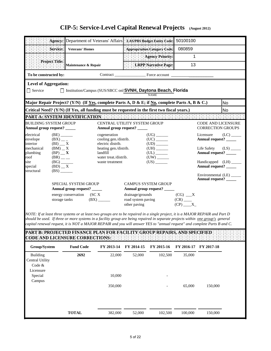|                                                                              |                                                                                                        |                                                      |                                                                                                                                             | Agency: Department of Veterans' Affairs   LAS/PBS Budget Entity Code:                                          | 50100100           |                                                                                                             |      |
|------------------------------------------------------------------------------|--------------------------------------------------------------------------------------------------------|------------------------------------------------------|---------------------------------------------------------------------------------------------------------------------------------------------|----------------------------------------------------------------------------------------------------------------|--------------------|-------------------------------------------------------------------------------------------------------------|------|
|                                                                              | Service:                                                                                               | <b>Veterans' Homes</b>                               |                                                                                                                                             | Appropriation Category Code:                                                                                   | 080859             |                                                                                                             |      |
|                                                                              |                                                                                                        |                                                      |                                                                                                                                             | Agency Priority:                                                                                               | 1                  |                                                                                                             |      |
|                                                                              | Project Title:                                                                                         | Maintenance & Repair                                 |                                                                                                                                             | LRPP Narrative Page:                                                                                           | 13                 |                                                                                                             |      |
| To be constructed by:                                                        |                                                                                                        |                                                      |                                                                                                                                             | Contract Force account                                                                                         |                    |                                                                                                             |      |
| <b>Level of Aggregation:</b><br>$\Box$ Service                               |                                                                                                        |                                                      |                                                                                                                                             | □ Institution/Campus (SUS/SBCC onl SVNH, Daytona Beach, Florida<br><b>NAME</b>                                 |                    |                                                                                                             |      |
|                                                                              |                                                                                                        |                                                      |                                                                                                                                             | Major Repair Project? (Y/N) (If Yes, complete Parts A, D & E; if No, complete Parts A, B & C.)                 |                    |                                                                                                             | No.  |
|                                                                              |                                                                                                        |                                                      |                                                                                                                                             | Critical Need? (Y/N) (If Yes, all funding must be requested in the first two fiscal years.)                    |                    |                                                                                                             | No   |
|                                                                              |                                                                                                        |                                                      |                                                                                                                                             |                                                                                                                |                    |                                                                                                             |      |
| <b>BUILDING SYSTEM GROUP</b><br>Annual group request? _____                  |                                                                                                        |                                                      | Annual group request? _____                                                                                                                 | CENTRAL UTILITY SYSTEM GROUP                                                                                   |                    | <b>CODE AND LICENSURE</b><br><b>CORRECTION GROUPS</b>                                                       |      |
| electrical<br>envelope<br>interior<br>mechanical<br>plumbing<br>roof<br>site | (BE)<br>$(BX)_{--}$<br>$(BI)$ $X$<br>$(BM)$ $\_\ X$<br>$(BP)$ $\_\_$ X<br>$(BR)$ <sub>__</sub><br>(BG) |                                                      | cogeneration<br>cooling gen./distrib.<br>electric distrib.<br>heating gen./distrib.<br>landfill<br>water treat./distrib.<br>waste treatment | $(UG)$ <sub>______</sub><br>$(UC)$ <sub>_______</sub><br>$(UH)$ <sub>______</sub><br>$(UL)$ <sub>_______</sub> |                    | Licensure<br>Annual request? _____<br>Life Safety $(LS)$<br>Annual request? _____<br>Handicapped (LH) _____ | (LC) |
| special<br>structural                                                        | $(BD)$ $\_\ X$<br>$(BS)$ <sub>_______</sub>                                                            | <b>SPECIAL SYSTEM GROUP</b><br>Annual group request? |                                                                                                                                             | <b>CAMPUS SYSTEM GROUP</b><br>Annual group request? _____                                                      |                    | Annual request? _____<br>Environmental (LE) _____<br>Annual request? _____                                  |      |
|                                                                              | storage tanks                                                                                          | energy conservation (SC <sub>X</sub>                 | (BX)                                                                                                                                        | drainage/grounds<br>road system paving                                                                         | $(CG)$ $X$<br>(CR) |                                                                                                             |      |

*NOTE: If at least three systems or at least two groups are to be repaired in a single project, it is a MAJOR REPAIR and Part D should be used. If three or more systems in a facility group are being repaired in separate projects within one group's general capital renewal request, it is NOT a MAJOR REPAIR and you will answer YES to "annual request" and complete Parts B and C.*

**PART B: PROJECTED FINANCE PLAN FOR FACILITY GROUP REPAIRS, AND SPECIFIED CODE AND LICENSURE CORRECTIONS:**

other paving  $(CP)$  \_\_\_\_X\_

| Group/System    | <b>Fund Code</b> | FY 2013-14 | FY 2014-15 | FY 2015-16               | FY 2016-17 FY 2017-18 |         |
|-----------------|------------------|------------|------------|--------------------------|-----------------------|---------|
| <b>Building</b> | 2692             | 22,000     | 52,000     | 102,500                  | 35,000                |         |
| Central Utility |                  |            |            |                          |                       |         |
| Code $&$        |                  |            |            |                          |                       |         |
| Licensure       |                  |            |            |                          |                       |         |
| Special         |                  | 10,000     |            | $\overline{\phantom{a}}$ |                       |         |
| Campus          |                  |            |            |                          |                       |         |
|                 |                  | 350,000    |            | $\overline{\phantom{a}}$ | 65,000                | 150,000 |
|                 |                  |            |            |                          |                       |         |
|                 |                  |            |            |                          |                       |         |
|                 |                  |            |            |                          |                       |         |
|                 |                  |            |            |                          |                       |         |
|                 | <b>TOTAL</b>     | 382,000    | 52,000     | 102,500                  | 100,000               | 150,000 |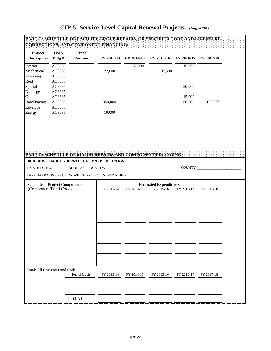| Project<br><b>Description</b>                                  | <b>DMS</b><br>Bldg.#                 | <b>Critical</b><br>Routine |                                                                                                                | FY 2013-14 FY 2014-15 | FY 2015-16                                  | FY 2016-17 FY 2017-18 |            |  |
|----------------------------------------------------------------|--------------------------------------|----------------------------|----------------------------------------------------------------------------------------------------------------|-----------------------|---------------------------------------------|-----------------------|------------|--|
| Interior<br>Mechanical<br>Plumbing                             | AO3685<br>AO3685<br>AO3685           |                            | 22,000                                                                                                         | 52,000                | 102,500                                     | 15,000                |            |  |
| Roof<br>Special<br>Drainage                                    | AO3685<br>AO3685<br>AO3685           |                            |                                                                                                                |                       |                                             | 20,000                |            |  |
| Grounds<br><b>Road Paving</b><br>Envelope<br>Energy            | AO3685<br>AO3685<br>AO3685<br>AO3685 |                            | 350,000<br>10,000                                                                                              |                       |                                             | 15,000<br>50,000      | 150,000    |  |
|                                                                |                                      |                            |                                                                                                                |                       |                                             |                       |            |  |
|                                                                |                                      |                            | PART D: SCHEDULE OF MAJOR REPAIRS AND COMPONENT FINANCING:<br>BUILDING / FACILITY IDENTIFICATION / DESCRIPTION |                       |                                             |                       |            |  |
|                                                                |                                      |                            | LRPP NARRATIVE PAGE ON WHICH PROJECT IS DESCRIBED ____________                                                 |                       |                                             |                       | COUNTY     |  |
| <b>Schedule of Project Components</b><br>(Component/Fund Code) |                                      |                            | FY 2013-14                                                                                                     | FY 2014-15            | <b>Estimated Expenditures</b><br>FY 2015-16 | FY 2016-17            | FY 2017-18 |  |
|                                                                |                                      |                            |                                                                                                                |                       |                                             |                       |            |  |
|                                                                |                                      |                            |                                                                                                                |                       |                                             |                       |            |  |
|                                                                |                                      |                            |                                                                                                                |                       |                                             |                       |            |  |
|                                                                |                                      |                            |                                                                                                                |                       |                                             |                       |            |  |
|                                                                |                                      |                            |                                                                                                                |                       |                                             |                       |            |  |
| Total: All Costs by Fund Code                                  |                                      | <b>Fund Code</b>           | FY 2013-14                                                                                                     | FY 2014-15            | FY 2015-16                                  | FY 2016-17            | FY 2017-18 |  |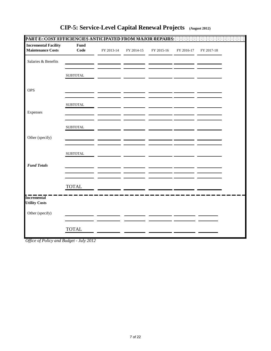| <b>Incremental Facility</b><br><b>Maintenance Costs</b> | Fund<br>Code     | FY 2013-14 | FY 2014-15 | FY 2015-16 | FY 2016-17 | FY 2017-18 |  |
|---------------------------------------------------------|------------------|------------|------------|------------|------------|------------|--|
| Salaries & Benefits                                     |                  |            |            |            |            |            |  |
|                                                         | ${\tt SUBTOTAL}$ |            |            |            |            |            |  |
| <b>OPS</b>                                              |                  |            |            |            |            |            |  |
|                                                         | ${\tt SUBTOTAL}$ |            |            |            |            |            |  |
| Expenses                                                |                  |            |            |            |            |            |  |
|                                                         | ${\tt SUBTOTAL}$ |            |            |            |            |            |  |
| Other (specify)                                         |                  |            |            |            |            |            |  |
|                                                         | ${\tt SUBTOTAL}$ |            |            |            |            |            |  |
| <b>Fund Totals</b>                                      |                  |            |            |            |            |            |  |
|                                                         | <b>TOTAL</b>     |            |            |            |            |            |  |
| <b>Incremental</b><br><b>Utility Costs</b>              |                  |            |            |            |            |            |  |
| Other (specify)                                         |                  |            |            |            |            |            |  |
|                                                         | <b>TOTAL</b>     |            |            |            |            |            |  |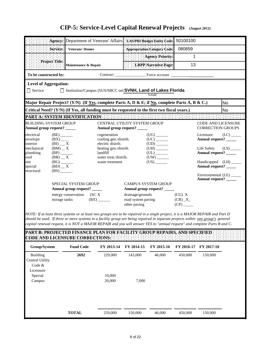|                                                                         |                                                                  |                                                            |                                                            | Agency: Department of Veterans' Affairs : LAS/PBS Budget Entity Code:                          | 50100100 |                                                       |      |
|-------------------------------------------------------------------------|------------------------------------------------------------------|------------------------------------------------------------|------------------------------------------------------------|------------------------------------------------------------------------------------------------|----------|-------------------------------------------------------|------|
|                                                                         | Service:                                                         | <b>Veterans' Homes</b>                                     |                                                            | Appropriation Category Code:                                                                   | 080859   |                                                       |      |
|                                                                         |                                                                  |                                                            |                                                            | <b>Agency Priority:</b>                                                                        | 1        |                                                       |      |
|                                                                         | Project Title:                                                   | Maintenance & Repair                                       |                                                            | <b>LRPP Narrative Page:</b>                                                                    | 13       |                                                       |      |
| To be constructed by:                                                   |                                                                  |                                                            |                                                            | Contract Force account                                                                         |          |                                                       |      |
| <b>Level of Aggregation:</b>                                            |                                                                  |                                                            |                                                            |                                                                                                |          |                                                       |      |
| $\Box$ Service                                                          |                                                                  |                                                            |                                                            | □ Institution/Campus (SUS/SBCC onl SVNH, Land of Lakes Florida<br><b>NAME</b>                  |          |                                                       |      |
|                                                                         |                                                                  |                                                            |                                                            | Major Repair Project? (Y/N) (If Yes, complete Parts A, D & E; if No, complete Parts A, B & C.) |          |                                                       | No   |
|                                                                         |                                                                  |                                                            |                                                            | Critical Need? (Y/N) (If Yes, all funding must be requested in the first two fiscal years.)    |          |                                                       | No   |
|                                                                         |                                                                  |                                                            | PART A: SYSTEM IDENTIFICATION                              |                                                                                                |          |                                                       |      |
| <b>BUILDING SYSTEM GROUP</b><br>Annual group request? _____             |                                                                  |                                                            | Annual group request?                                      | CENTRAL UTILITY SYSTEM GROUP                                                                   |          | <b>CODE AND LICENSURE</b><br><b>CORRECTION GROUPS</b> |      |
| electrical<br>envelope<br>interior                                      | $(BE)$ <sub>________</sub><br>$(BX)$ <sub>--</sub><br>$(BI)$ $X$ |                                                            | cogeneration<br>cooling gen./distrib.<br>electric distrib. | $(UC)$ <sub>_______</sub>                                                                      |          | Licensure<br>Annual request? _____                    | (LC) |
| mechanical<br>plumbing<br>roof                                          | $(BM)$ $\_\ X$<br>$(BP)$ <sub>______</sub><br>$(BR)$ $\_\ X$     |                                                            | heating gen./distrib.<br>landfill<br>water treat./distrib. | $(UH)$ <sub>_______</sub><br>$(UL)$ <sub>________</sub><br>$(UW)$ <sub>______</sub>            |          | Life Safety<br>Annual request? _____                  | (LS) |
| site<br>special<br>structural                                           | $(BG)$ <sub>_______</sub><br>$(BD)$ $\_\ X$<br>(BS)              |                                                            | waste treatment                                            | $(US)$ <sub>_______</sub>                                                                      |          | Handicapped (LH) _____<br>Annual request? _____       |      |
|                                                                         |                                                                  |                                                            |                                                            |                                                                                                |          | Environmental (LE)<br>Annual request? _____           |      |
|                                                                         |                                                                  | <b>SPECIAL SYSTEM GROUP</b><br>Annual group request? _____ |                                                            | <b>CAMPUS SYSTEM GROUP</b><br>Annual group request? _____                                      |          |                                                       |      |
| energy conservation<br>SCX<br>storage tanks<br>$(BX)$ <sub>______</sub> |                                                                  | drainage/grounds<br>road system paving<br>other paving     | (CG) X<br>(CR) X                                           |                                                                                                |          |                                                       |      |

*NOTE: If at least three systems or at least two groups are to be repaired in a single project, it is a MAJOR REPAIR and Part D should be used. If three or more systems in a facility group are being repaired in separate projects within one group's general capital renewal request, it is NOT a MAJOR REPAIR and you will answer YES to "annual request" and complete Parts B and C.*

| Group/System    | <b>Fund Code</b> | FY 2013-14 | FY 2014-15 | FY 2015-16 | FY 2016-17 | FY 2017-18 |
|-----------------|------------------|------------|------------|------------|------------|------------|
| Building        | 2692             | 229,000    | 143,000    | 46,000     | 450,000    | 150,000    |
| Central Utility |                  |            |            |            |            |            |
| Code $&$        |                  |            |            |            |            |            |
| Licensure       |                  |            |            |            |            |            |
| Special         |                  | 10,000     |            |            |            |            |
| Campus          |                  | 20,000     | 7,000      |            |            |            |
|                 |                  |            |            |            |            |            |
|                 |                  |            |            |            |            |            |
|                 |                  |            |            |            |            |            |
|                 |                  |            |            |            |            |            |
|                 | <b>TOTAL</b>     | 259,000    | 150,000    | 46,000     | 450,000    | 150,000    |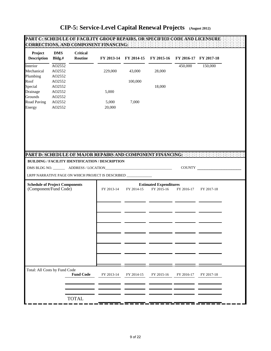|                                                                |                            | PART C: SCHEDULE OF FACILITY GROUP REPAIRS, OR SPECIFIED CODE AND LICENSURE:<br>CORRECTIONS, AND COMPONENT FINANCING: |                 |            |            |            |                       |  |
|----------------------------------------------------------------|----------------------------|-----------------------------------------------------------------------------------------------------------------------|-----------------|------------|------------|------------|-----------------------|--|
| Project<br><b>Description</b>                                  | <b>DMS</b><br>Bldg.#       | <b>Critical</b><br>Routine                                                                                            | FY 2013-14      | FY 2014-15 | FY 2015-16 |            | FY 2016-17 FY 2017-18 |  |
| Interior<br>Mechanical                                         | AO2552<br>AO2552           |                                                                                                                       | 229,000         | 43,000     | 28,000     | 450,000    | 150,000               |  |
| Plumbing<br>Roof<br>Special                                    | AO2552<br>AO2552<br>AO2552 |                                                                                                                       |                 | 100,000    | 18,000     |            |                       |  |
| Drainage<br>Grounds                                            | AO2552<br>AO2552           |                                                                                                                       | 5,000           |            |            |            |                       |  |
| <b>Road Paving</b><br>Energy                                   | AO2552<br>AO2552           |                                                                                                                       | 5,000<br>20,000 | 7,000      |            |            |                       |  |
|                                                                |                            |                                                                                                                       |                 |            |            |            |                       |  |
|                                                                |                            |                                                                                                                       |                 |            |            |            |                       |  |
|                                                                |                            |                                                                                                                       |                 |            |            |            |                       |  |
|                                                                |                            | PART D: SCHEDULE OF MAJOR REPAIRS AND COMPONENT FINANCING: :::::<br>BUILDING / FACILITY IDENTIFICATION / DESCRIPTION  |                 |            |            |            |                       |  |
|                                                                |                            | LRPP NARRATIVE PAGE ON WHICH PROJECT IS DESCRIBED __________                                                          |                 |            |            |            | COUNTY                |  |
| <b>Schedule of Project Components</b><br>(Component/Fund Code) |                            |                                                                                                                       | FY 2013-14      | FY 2017-18 |            |            |                       |  |
|                                                                |                            |                                                                                                                       |                 |            |            |            |                       |  |
|                                                                |                            |                                                                                                                       |                 |            |            |            |                       |  |
|                                                                |                            |                                                                                                                       |                 |            |            |            |                       |  |
|                                                                |                            |                                                                                                                       |                 |            |            |            |                       |  |
|                                                                |                            |                                                                                                                       |                 |            |            |            |                       |  |
|                                                                |                            |                                                                                                                       |                 |            |            |            |                       |  |
| Total: All Costs by Fund Code                                  |                            | <b>Fund Code</b>                                                                                                      | FY 2013-14      | FY 2014-15 | FY 2015-16 | FY 2016-17 | FY 2017-18            |  |
|                                                                |                            |                                                                                                                       |                 |            |            |            |                       |  |
|                                                                |                            | <b>TOTAL</b>                                                                                                          |                 |            |            |            |                       |  |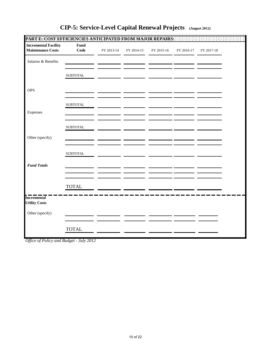| <b>Incremental Facility</b><br>Fund<br><b>Maintenance Costs</b><br>Code<br>FY 2013-14<br>FY 2014-15<br>FY 2015-16<br>Salaries & Benefits<br><b>SUBTOTAL</b> | FY 2016-17 | FY 2017-18 |  |
|-------------------------------------------------------------------------------------------------------------------------------------------------------------|------------|------------|--|
|                                                                                                                                                             |            |            |  |
|                                                                                                                                                             |            |            |  |
|                                                                                                                                                             |            |            |  |
| <b>OPS</b>                                                                                                                                                  |            |            |  |
| ${\tt SUBTOTAL}$                                                                                                                                            |            |            |  |
| Expenses                                                                                                                                                    |            |            |  |
| <b>SUBTOTAL</b>                                                                                                                                             |            |            |  |
| Other (specify)                                                                                                                                             |            |            |  |
| <b>SUBTOTAL</b>                                                                                                                                             |            |            |  |
| <b>Fund Totals</b>                                                                                                                                          |            |            |  |
| <b>TOTAL</b>                                                                                                                                                |            |            |  |
| <b>Incremental</b><br><b>Utility Costs</b>                                                                                                                  |            |            |  |
| Other (specify)                                                                                                                                             |            |            |  |
| <b>TOTAL</b>                                                                                                                                                |            |            |  |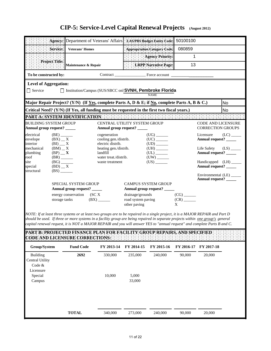|                                                                           |                                                                    |                        | Agency: Department of Veterans' Affairs   LAS/PBS Budget Entity Code:                          |                                                           |                                                             | 50100100 |                                                       |                         |
|---------------------------------------------------------------------------|--------------------------------------------------------------------|------------------------|------------------------------------------------------------------------------------------------|-----------------------------------------------------------|-------------------------------------------------------------|----------|-------------------------------------------------------|-------------------------|
|                                                                           | Service:                                                           | <b>Veterans' Homes</b> |                                                                                                |                                                           | : Appropriation Category Code:                              | 080859   |                                                       |                         |
|                                                                           |                                                                    |                        |                                                                                                |                                                           | <b>Agency Priority:</b>                                     | 1        |                                                       |                         |
|                                                                           | Project Title:                                                     | Maintenance & Repair   |                                                                                                | LRPP Narrative Page:                                      |                                                             | 13       |                                                       |                         |
| To be constructed by:                                                     |                                                                    |                        |                                                                                                |                                                           |                                                             |          |                                                       |                         |
| <b>Level of Aggregation:</b>                                              |                                                                    |                        |                                                                                                |                                                           |                                                             |          |                                                       |                         |
| □ Service                                                                 |                                                                    |                        | □ Institution/Campus (SUS/SBCC onl SVNH, Pembroke Florida                                      |                                                           | <b>NAME</b>                                                 |          |                                                       |                         |
|                                                                           |                                                                    |                        | Major Repair Project? (Y/N) (If Yes, complete Parts A, D & E; if No, complete Parts A, B & C.) |                                                           |                                                             |          |                                                       | No                      |
|                                                                           |                                                                    |                        | Critical Need? (Y/N) (If Yes, all funding must be requested in the first two fiscal years.)    |                                                           |                                                             |          |                                                       | <b>No</b>               |
| PART A: SYSTEM IDENTIFICATION :                                           |                                                                    |                        |                                                                                                |                                                           |                                                             |          |                                                       |                         |
| <b>BUILDING SYSTEM GROUP</b><br>Annual group request? ____                |                                                                    |                        | CENTRAL UTILITY SYSTEM GROUP<br>Annual group request? _____                                    |                                                           |                                                             |          | <b>CODE AND LICENSURE</b><br><b>CORRECTION GROUPS</b> |                         |
| electrical<br>envelope<br>interior                                        | $(BE)$ <sub>________</sub><br>$(BX)$ $\_\ X$<br>$(BI)$ $\_\_$ X    |                        | cogeneration<br>cooling gen./distrib.<br>electric distrib.                                     |                                                           |                                                             |          | Licensure<br>Annual request? _____                    | $(LC)$ <sub>_____</sub> |
| mechanical<br>plumbing<br>roof                                            | $(BM)$ $\_\ X$<br>$(BP)$ $\mathbf{X}$<br>$(BR)$ <sub>_______</sub> |                        | heating gen./distrib.<br>landfill<br>water treat./distrib.                                     |                                                           | $(UL)$ <sub>_______</sub><br>$(UW)$ <sub>________</sub>     |          | Annual request? _____                                 |                         |
| site<br>special<br>structural                                             | (BG)<br>$(BD)$ $\_\ X$<br>(BS)                                     |                        | waste treatment                                                                                |                                                           | (US)                                                        |          | Handicapped (LH)<br>Annual request? _____             |                         |
|                                                                           |                                                                    |                        |                                                                                                |                                                           |                                                             |          | Environmental (LE)<br>Annual request? _____           |                         |
| <b>SPECIAL SYSTEM GROUP</b><br>Annual group request? _____                |                                                                    |                        |                                                                                                | <b>CAMPUS SYSTEM GROUP</b><br>Annual group request? _____ |                                                             |          |                                                       |                         |
| energy conservation<br>(SC X<br>$(BX)$ <sub>______</sub><br>storage tanks |                                                                    |                        | drainage/grounds<br>road system paving<br>other paving                                         |                                                           | $(CG)$ <sub>_______</sub><br>$(CR)$ <sub>_______</sub><br>X |          |                                                       |                         |

*NOTE: If at least three systems or at least two groups are to be repaired in a single project, it is a MAJOR REPAIR and Part D should be used. If three or more systems in a facility group are being repaired in separate projects within one group's general capital renewal request, it is NOT a MAJOR REPAIR and you will answer YES to "annual request" and complete Parts B and C.*

| Group/System    | <b>Fund Code</b> | FY 2013-14 | FY 2014-15 | FY 2015-16 | FY 2016-17 FY 2017-18 |        |
|-----------------|------------------|------------|------------|------------|-----------------------|--------|
| <b>Building</b> | 2692             | 330,000    | 235,000    | 240,000    | 90,000                | 20,000 |
| Central Utility |                  |            |            |            |                       |        |
| Code $&$        |                  |            |            |            |                       |        |
| Licensure       |                  |            |            |            |                       |        |
| Special         |                  | 10,000     | 5,000      |            |                       |        |
| Campus          |                  |            | 33,000     |            |                       |        |
|                 |                  |            |            |            |                       |        |
|                 |                  |            |            |            |                       |        |
|                 |                  |            |            |            |                       |        |
|                 |                  |            |            |            |                       |        |
|                 | <b>TOTAL</b>     | 340,000    | 273,000    | 240,000    | 90,000                | 20,000 |
|                 |                  |            |            |            |                       |        |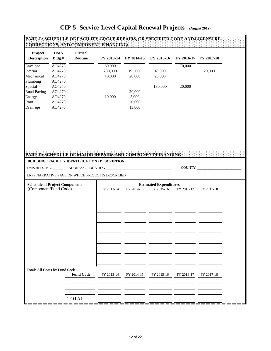| AO4270<br>Envelope<br>60,000<br>70,000<br>Interior<br>AO4270<br>230,000<br>195,000<br>40,000<br>20,000<br>Mechanical<br>AO4270<br>40,000<br>20,000<br>20,000<br>Plumbing<br>AO4270<br>Special<br>AO4270<br>180,000<br>20,000<br><b>Road Paving</b><br>AO4270<br>20,000<br>10,000<br>5,000<br>Energy<br>AO4270<br>Roof<br>20,000<br>AO4270<br>Drainage<br>AO4270<br>13,000<br><b>BUILDING / FACILITY IDENTIFICATION / DESCRIPTION</b><br>COUNTY<br>DMS BLDG NO. ___________ ADDRESS / LOCATION_<br>the control of the control of the control of the control of the control of the control of<br>LRPP NARRATIVE PAGE ON WHICH PROJECT IS DESCRIBED ____<br><b>Schedule of Project Components</b><br><b>Estimated Expenditures</b><br>(Component/Fund Code)<br>FY 2014-15<br>FY 2015-16<br>FY 2013-14<br>FY 2016-17<br>FY 2017-18<br>Total: All Costs by Fund Code<br><b>Fund Code</b><br>FY 2013-14<br>FY 2014-15<br>FY 2015-16<br>FY 2016-17<br>FY 2017-18 | Project<br><b>Description</b> | <b>DMS</b><br>Bldg.# | <b>Critical</b><br>Routine | FY 2013-14 | FY 2014-15 | FY 2015-16 | FY 2016-17 FY 2017-18 |  |
|-----------------------------------------------------------------------------------------------------------------------------------------------------------------------------------------------------------------------------------------------------------------------------------------------------------------------------------------------------------------------------------------------------------------------------------------------------------------------------------------------------------------------------------------------------------------------------------------------------------------------------------------------------------------------------------------------------------------------------------------------------------------------------------------------------------------------------------------------------------------------------------------------------------------------------------------------------------|-------------------------------|----------------------|----------------------------|------------|------------|------------|-----------------------|--|
|                                                                                                                                                                                                                                                                                                                                                                                                                                                                                                                                                                                                                                                                                                                                                                                                                                                                                                                                                           |                               |                      |                            |            |            |            |                       |  |
|                                                                                                                                                                                                                                                                                                                                                                                                                                                                                                                                                                                                                                                                                                                                                                                                                                                                                                                                                           |                               |                      |                            |            |            |            |                       |  |
|                                                                                                                                                                                                                                                                                                                                                                                                                                                                                                                                                                                                                                                                                                                                                                                                                                                                                                                                                           |                               |                      |                            |            |            |            |                       |  |
|                                                                                                                                                                                                                                                                                                                                                                                                                                                                                                                                                                                                                                                                                                                                                                                                                                                                                                                                                           |                               |                      |                            |            |            |            |                       |  |
|                                                                                                                                                                                                                                                                                                                                                                                                                                                                                                                                                                                                                                                                                                                                                                                                                                                                                                                                                           |                               |                      |                            |            |            |            |                       |  |
|                                                                                                                                                                                                                                                                                                                                                                                                                                                                                                                                                                                                                                                                                                                                                                                                                                                                                                                                                           |                               |                      |                            |            |            |            |                       |  |
|                                                                                                                                                                                                                                                                                                                                                                                                                                                                                                                                                                                                                                                                                                                                                                                                                                                                                                                                                           |                               |                      |                            |            |            |            |                       |  |
|                                                                                                                                                                                                                                                                                                                                                                                                                                                                                                                                                                                                                                                                                                                                                                                                                                                                                                                                                           |                               |                      |                            |            |            |            |                       |  |
| PART D: SCHEDULE OF MAJOR REPAIRS AND COMPONENT FINANCING: [1999]                                                                                                                                                                                                                                                                                                                                                                                                                                                                                                                                                                                                                                                                                                                                                                                                                                                                                         |                               |                      |                            |            |            |            |                       |  |
|                                                                                                                                                                                                                                                                                                                                                                                                                                                                                                                                                                                                                                                                                                                                                                                                                                                                                                                                                           |                               |                      |                            |            |            |            |                       |  |
|                                                                                                                                                                                                                                                                                                                                                                                                                                                                                                                                                                                                                                                                                                                                                                                                                                                                                                                                                           |                               |                      |                            |            |            |            |                       |  |
|                                                                                                                                                                                                                                                                                                                                                                                                                                                                                                                                                                                                                                                                                                                                                                                                                                                                                                                                                           |                               |                      |                            |            |            |            |                       |  |
|                                                                                                                                                                                                                                                                                                                                                                                                                                                                                                                                                                                                                                                                                                                                                                                                                                                                                                                                                           |                               |                      |                            |            |            |            |                       |  |
|                                                                                                                                                                                                                                                                                                                                                                                                                                                                                                                                                                                                                                                                                                                                                                                                                                                                                                                                                           |                               |                      |                            |            |            |            |                       |  |
|                                                                                                                                                                                                                                                                                                                                                                                                                                                                                                                                                                                                                                                                                                                                                                                                                                                                                                                                                           |                               |                      |                            |            |            |            |                       |  |
|                                                                                                                                                                                                                                                                                                                                                                                                                                                                                                                                                                                                                                                                                                                                                                                                                                                                                                                                                           |                               |                      |                            |            |            |            |                       |  |
|                                                                                                                                                                                                                                                                                                                                                                                                                                                                                                                                                                                                                                                                                                                                                                                                                                                                                                                                                           |                               |                      |                            |            |            |            |                       |  |
|                                                                                                                                                                                                                                                                                                                                                                                                                                                                                                                                                                                                                                                                                                                                                                                                                                                                                                                                                           |                               |                      |                            |            |            |            |                       |  |
|                                                                                                                                                                                                                                                                                                                                                                                                                                                                                                                                                                                                                                                                                                                                                                                                                                                                                                                                                           |                               |                      |                            |            |            |            |                       |  |
|                                                                                                                                                                                                                                                                                                                                                                                                                                                                                                                                                                                                                                                                                                                                                                                                                                                                                                                                                           |                               |                      |                            |            |            |            |                       |  |
| <b>TOTAL</b>                                                                                                                                                                                                                                                                                                                                                                                                                                                                                                                                                                                                                                                                                                                                                                                                                                                                                                                                              |                               |                      |                            |            |            |            |                       |  |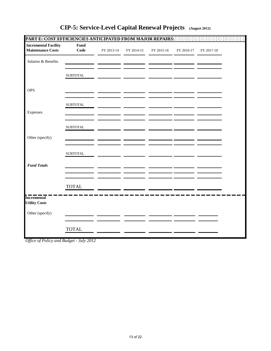| <b>Incremental Facility</b><br><b>Maintenance Costs</b> | Fund<br>Code     | FY 2013-14 | FY 2014-15 | FY 2015-16 | FY 2016-17 | FY 2017-18 |  |
|---------------------------------------------------------|------------------|------------|------------|------------|------------|------------|--|
| Salaries & Benefits                                     |                  |            |            |            |            |            |  |
|                                                         | ${\tt SUBTOTAL}$ |            |            |            |            |            |  |
| <b>OPS</b>                                              |                  |            |            |            |            |            |  |
|                                                         | ${\tt SUBTOTAL}$ |            |            |            |            |            |  |
| Expenses                                                |                  |            |            |            |            |            |  |
|                                                         | ${\tt SUBTOTAL}$ |            |            |            |            |            |  |
| Other (specify)                                         |                  |            |            |            |            |            |  |
|                                                         | ${\tt SUBTOTAL}$ |            |            |            |            |            |  |
| <b>Fund Totals</b>                                      |                  |            |            |            |            |            |  |
|                                                         | <b>TOTAL</b>     |            |            |            |            |            |  |
| <b>Incremental</b><br><b>Utility Costs</b>              |                  |            |            |            |            |            |  |
| Other (specify)                                         |                  |            |            |            |            |            |  |
|                                                         | <b>TOTAL</b>     |            |            |            |            |            |  |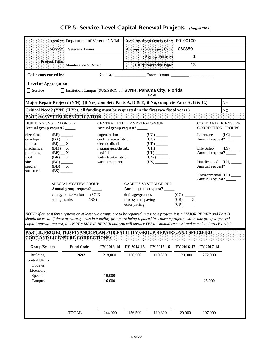|                                                                                          |                                                                |                        | Agency: Department of Veterans' Affairs : LAS/PBS Budget Entity Code:                          |                                    |                                                                                    | 50100100           |                                                       |           |
|------------------------------------------------------------------------------------------|----------------------------------------------------------------|------------------------|------------------------------------------------------------------------------------------------|------------------------------------|------------------------------------------------------------------------------------|--------------------|-------------------------------------------------------|-----------|
|                                                                                          | Service:                                                       | <b>Veterans' Homes</b> |                                                                                                |                                    | Appropriation Category Code:                                                       | 080859             |                                                       |           |
|                                                                                          |                                                                |                        |                                                                                                |                                    | <b>Agency Priority:</b>                                                            | 1                  |                                                       |           |
|                                                                                          | Project Title:                                                 | Maintenance & Repair   |                                                                                                |                                    | LRPP Narrative Page:                                                               | 13                 |                                                       |           |
| To be constructed by:                                                                    |                                                                |                        |                                                                                                |                                    |                                                                                    |                    |                                                       |           |
| <b>Level of Aggregation:</b>                                                             |                                                                |                        |                                                                                                |                                    |                                                                                    |                    |                                                       |           |
| □ Service                                                                                |                                                                |                        | □ Institution/Campus (SUS/SBCC onl SVNH, Panama City, Florida                                  |                                    | <b>NAME</b>                                                                        |                    |                                                       |           |
|                                                                                          |                                                                |                        | Major Repair Project? (Y/N) (If Yes, complete Parts A, D & E; if No, complete Parts A, B & C.) |                                    |                                                                                    |                    |                                                       | <b>No</b> |
|                                                                                          |                                                                |                        | Critical Need? (Y/N) (If Yes, all funding must be requested in the first two fiscal years.)    |                                    |                                                                                    |                    |                                                       | <b>No</b> |
|                                                                                          |                                                                |                        | PART A: SYSTEM IDENTIFICATION                                                                  |                                    |                                                                                    |                    |                                                       |           |
| <b>BUILDING SYSTEM GROUP</b><br>Annual group request? _____                              |                                                                |                        | CENTRAL UTILITY SYSTEM GROUP<br>Annual group request?                                          |                                    |                                                                                    |                    | <b>CODE AND LICENSURE</b><br><b>CORRECTION GROUPS</b> |           |
| electrical<br>envelope<br>interior                                                       | $(BE)$ <sub>_______</sub><br>$(BX)$ $\_\ X$<br>$(BI)$ $\_\_$ X |                        | cogeneration<br>cooling gen./distrib.<br>electric distrib.                                     |                                    | (UC)                                                                               |                    | Licensure<br>Annual request? _____                    | (LC)      |
| mechanical<br>plumbing<br>roof                                                           | $(BM)$ $\_\ X$<br>$(BP)$ $\mathbf{X}$<br>$(BR)$ $\_\ X$        |                        | heating gen./distrib.<br>landfill<br>water treat./distrib.                                     |                                    | $(UH)$ <sub>______</sub><br>$(UL)$ <sub>______</sub><br>$(UW)$ <sub>________</sub> |                    | Life Safety<br>Annual request? _____                  | (LS)      |
| site<br>special<br>structural                                                            | (BG)<br>$(BD)$ $\_\ X$<br>(BS)                                 |                        | waste treatment                                                                                |                                    | $(US)$ <sub>_______</sub>                                                          |                    | Handicapped (LH) ____<br>Annual request? _____        |           |
|                                                                                          |                                                                |                        |                                                                                                |                                    |                                                                                    |                    | Environmental (LE)<br><b>Annual request?</b>          |           |
| <b>SPECIAL SYSTEM GROUP</b><br>Annual group request? _____<br>energy conservation<br>SCX |                                                                |                        |                                                                                                | drainage/grounds                   | <b>CAMPUS SYSTEM GROUP</b><br>Annual group request? _____                          |                    |                                                       |           |
|                                                                                          | storage tanks                                                  |                        | $(BX)$ <sub>______</sub>                                                                       | road system paving<br>other paving |                                                                                    | $(CR)$ $X$<br>(CP) |                                                       |           |

*NOTE: If at least three systems or at least two groups are to be repaired in a single project, it is a MAJOR REPAIR and Part D should be used. If three or more systems in a facility group are being repaired in separate projects within one group's general capital renewal request, it is NOT a MAJOR REPAIR and you will answer YES to "annual request" and complete Parts B and C.*

| Group/System    | <b>Fund Code</b> | FY 2013-14 | FY 2014-15 | FY 2015-16 | FY 2016-17 | FY 2017-18 |
|-----------------|------------------|------------|------------|------------|------------|------------|
| <b>Building</b> | 2692             | 218,000    | 156,500    | 110,300    | 120,000    | 272,000    |
| Central Utility |                  |            |            |            |            |            |
| Code $&$        |                  |            |            |            |            |            |
| Licensure       |                  |            |            |            |            |            |
| Special         |                  | 10,000     |            |            |            |            |
| Campus          |                  | 16,000     |            |            |            | 25,000     |
|                 |                  |            |            |            |            |            |
|                 |                  |            |            |            |            |            |
|                 |                  |            |            |            |            |            |
|                 |                  |            |            |            |            |            |
|                 | <b>TOTAL</b>     | 244,000    | 156,500    | 110,300    | 20,000     | 297,000    |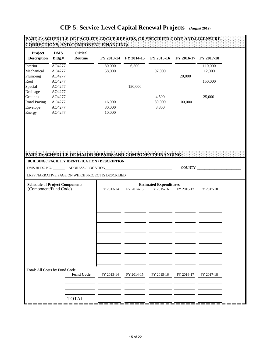| Project<br><b>Description</b>                                  | <b>DMS</b><br>Bldg.#                 | <b>Critical</b><br>Routine |                                                                                       | FY 2013-14 FY 2014-15 | FY 2015-16               | FY 2016-17 FY 2017-18 |                      |
|----------------------------------------------------------------|--------------------------------------|----------------------------|---------------------------------------------------------------------------------------|-----------------------|--------------------------|-----------------------|----------------------|
| Interior<br>Mechanical<br>Plumbing                             | AO4277<br>AO4277<br>AO4277           |                            | 80,000<br>58,000                                                                      | 6,500                 | 97,000                   | 20,000                | 110,000<br>12,000    |
| Roof<br>Special<br>Drainage                                    | AO4277<br>AO4277<br>AO4277<br>AO4277 |                            |                                                                                       | 150,000               |                          |                       | 150,000<br>25,000    |
| Grounds<br><b>Road Paving</b><br>Envelope<br>Energy            | AO4277<br>AO4277<br>AO4277           |                            | 16,000<br>80,000<br>10,000                                                            |                       | 4,500<br>80,000<br>8,800 | 100,000               |                      |
|                                                                |                                      |                            |                                                                                       |                       |                          |                       |                      |
|                                                                |                                      |                            | BUILDING / FACILITY IDENTIFICATION / DESCRIPTION                                      |                       |                          |                       | <b>COUNTY</b> COUNTY |
|                                                                |                                      |                            | LRPP NARRATIVE PAGE ON WHICH PROJECT IS DESCRIBED ___________                         |                       |                          |                       |                      |
|                                                                |                                      |                            | <b>Estimated Expenditures</b><br>FY 2015-16<br>FY 2013-14<br>FY 2014-15<br>FY 2016-17 |                       |                          |                       |                      |
| <b>Schedule of Project Components</b><br>(Component/Fund Code) |                                      |                            |                                                                                       |                       |                          |                       | FY 2017-18           |
|                                                                |                                      |                            |                                                                                       |                       |                          |                       |                      |
|                                                                |                                      |                            |                                                                                       |                       |                          |                       |                      |
|                                                                |                                      |                            |                                                                                       |                       |                          |                       |                      |
|                                                                |                                      |                            |                                                                                       |                       |                          |                       |                      |
|                                                                |                                      |                            |                                                                                       |                       |                          |                       |                      |
|                                                                |                                      |                            |                                                                                       |                       |                          |                       |                      |
|                                                                |                                      |                            |                                                                                       |                       |                          |                       |                      |
| Total: All Costs by Fund Code                                  |                                      | <b>Fund Code</b>           | FY 2013-14                                                                            | FY 2014-15            | FY 2015-16               | FY 2016-17            | FY 2017-18           |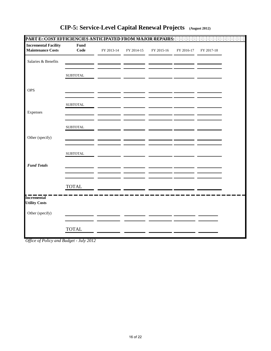| <b>Incremental Facility</b><br>Fund<br><b>Maintenance Costs</b><br>Code<br>FY 2013-14<br>FY 2014-15<br>FY 2015-16<br>Salaries & Benefits<br><b>SUBTOTAL</b> | FY 2016-17 | FY 2017-18 |  |
|-------------------------------------------------------------------------------------------------------------------------------------------------------------|------------|------------|--|
|                                                                                                                                                             |            |            |  |
|                                                                                                                                                             |            |            |  |
|                                                                                                                                                             |            |            |  |
| <b>OPS</b>                                                                                                                                                  |            |            |  |
| ${\tt SUBTOTAL}$                                                                                                                                            |            |            |  |
| Expenses                                                                                                                                                    |            |            |  |
| <b>SUBTOTAL</b>                                                                                                                                             |            |            |  |
| Other (specify)                                                                                                                                             |            |            |  |
| <b>SUBTOTAL</b>                                                                                                                                             |            |            |  |
| <b>Fund Totals</b>                                                                                                                                          |            |            |  |
| <b>TOTAL</b>                                                                                                                                                |            |            |  |
| <b>Incremental</b><br><b>Utility Costs</b>                                                                                                                  |            |            |  |
| Other (specify)                                                                                                                                             |            |            |  |
| <b>TOTAL</b>                                                                                                                                                |            |            |  |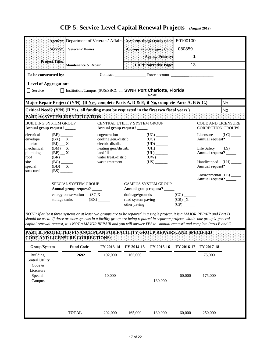|                                                                                                                                                                                                                                                                                                                      |                |                                                                                                                                             |                                                                                                                                        | Agency: Department of Veterans' Affairs : LAS/PBS Budget Entity Code:                                                                              | 50100100                                              |           |
|----------------------------------------------------------------------------------------------------------------------------------------------------------------------------------------------------------------------------------------------------------------------------------------------------------------------|----------------|---------------------------------------------------------------------------------------------------------------------------------------------|----------------------------------------------------------------------------------------------------------------------------------------|----------------------------------------------------------------------------------------------------------------------------------------------------|-------------------------------------------------------|-----------|
|                                                                                                                                                                                                                                                                                                                      | Service:       | <b>Veterans' Homes</b>                                                                                                                      |                                                                                                                                        | Appropriation Category Code:                                                                                                                       | 080859                                                |           |
|                                                                                                                                                                                                                                                                                                                      |                |                                                                                                                                             |                                                                                                                                        | <b>Agency Priority:</b>                                                                                                                            | 1                                                     |           |
|                                                                                                                                                                                                                                                                                                                      | Project Title: | Maintenance & Repair                                                                                                                        |                                                                                                                                        | LRPP Narrative Page:                                                                                                                               | 13                                                    |           |
| To be constructed by:                                                                                                                                                                                                                                                                                                |                |                                                                                                                                             |                                                                                                                                        |                                                                                                                                                    |                                                       |           |
| <b>Level of Aggregation:</b>                                                                                                                                                                                                                                                                                         |                |                                                                                                                                             |                                                                                                                                        |                                                                                                                                                    |                                                       |           |
| $\Box$ Service                                                                                                                                                                                                                                                                                                       |                |                                                                                                                                             |                                                                                                                                        | □ Institution/Campus (SUS/SBCC onl SVNH Port Charlotte, Florida<br><b>NAME</b>                                                                     |                                                       |           |
|                                                                                                                                                                                                                                                                                                                      |                |                                                                                                                                             |                                                                                                                                        | Major Repair Project? (Y/N) (If Yes, complete Parts A, D & E; if No, complete Parts A, B & C.)                                                     |                                                       | <b>No</b> |
|                                                                                                                                                                                                                                                                                                                      |                |                                                                                                                                             |                                                                                                                                        | Critical Need? (Y/N) (If Yes, all funding must be requested in the first two fiscal years.)                                                        |                                                       | <b>No</b> |
|                                                                                                                                                                                                                                                                                                                      |                |                                                                                                                                             |                                                                                                                                        |                                                                                                                                                    |                                                       |           |
| <b>BUILDING SYSTEM GROUP</b>                                                                                                                                                                                                                                                                                         |                |                                                                                                                                             | Annual group request? _____                                                                                                            | CENTRAL UTILITY SYSTEM GROUP                                                                                                                       | <b>CODE AND LICENSURE</b><br><b>CORRECTION GROUPS</b> |           |
| Annual group request? _____<br>electrical<br>$(BE)$ <sub>________</sub><br>$(BX)$ $\_\ X$<br>envelope<br>interior<br>$(BI)$ $X$<br>mechanical<br>$(BM)$ $\_$ X<br>plumbing<br>$(BP)$ _ X<br>roof<br>$(BR)$ <sub>_______</sub><br>site<br>$(BG)$ <sub>______</sub><br>$(BD)$ $\_\ X$<br>special<br>(BS)<br>structural |                | cogeneration<br>cooling gen./distrib.<br>electric distrib.<br>heating gen./distrib.<br>landfill<br>water treat./distrib.<br>waste treatment | $(UG)$ <sub>________</sub><br>$(UD)$ <sub>______</sub><br>$(UH)$ <sub>_______</sub><br>${\rm (UL)} \xrightarrow{\phantom{aa}}$<br>(US) | Licensure<br>Annual request? _____<br>Life Safety<br>Annual request? _____<br>Handicapped (LH) ____<br>Annual request? _____<br>Environmental (LE) | (LC)<br>(LS)                                          |           |
|                                                                                                                                                                                                                                                                                                                      |                | <b>SPECIAL SYSTEM GROUP</b><br>Annual group request? _____<br>energy conservation (SCX<br>storage tanks                                     | (BX)                                                                                                                                   | <b>CAMPUS SYSTEM GROUP</b><br>Annual group request?<br>drainage/grounds<br>road system paving<br>other paving                                      | Annual request?<br>(CR) X<br>$(CP)$ <sub>______</sub> |           |

*NOTE: If at least three systems or at least two groups are to be repaired in a single project, it is a MAJOR REPAIR and Part D should be used. If three or more systems in a facility group are being repaired in separate projects within one group's general capital renewal request, it is NOT a MAJOR REPAIR and you will answer YES to "annual request" and complete Parts B and C.*

| Group/System    | <b>Fund Code</b> | FY 2013-14 | FY 2014-15 | FY 2015-16 | FY 2016-17 FY 2017-18 |         |
|-----------------|------------------|------------|------------|------------|-----------------------|---------|
| <b>Building</b> | 2692             | 192,000    | 165,000    |            |                       | 75,000  |
| Central Utility |                  |            |            |            |                       |         |
| Code $&$        |                  |            |            |            |                       |         |
| Licensure       |                  |            |            |            |                       |         |
| Special         |                  | 10,000     |            |            | 60,000                | 175,000 |
| Campus          |                  |            |            | 130,000    |                       |         |
|                 |                  |            |            |            |                       |         |
|                 |                  |            |            |            |                       |         |
|                 |                  |            |            |            |                       |         |
|                 |                  |            |            |            |                       |         |
|                 |                  |            |            |            |                       |         |
|                 | <b>TOTAL</b>     | 202,000    | 165,000    | 130,000    | 60,000                | 250,000 |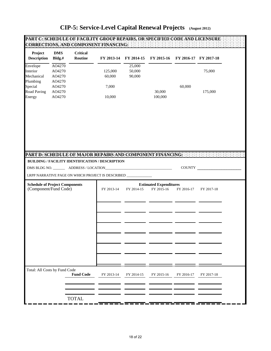| Project                               | <b>DMS</b>       | <b>Critical</b>  |                                                              |                       |                               |                       |            |
|---------------------------------------|------------------|------------------|--------------------------------------------------------------|-----------------------|-------------------------------|-----------------------|------------|
| <b>Description</b>                    | Bldg.#           | Routine          |                                                              | FY 2013-14 FY 2014-15 | FY 2015-16                    | FY 2016-17 FY 2017-18 |            |
| Envelope                              | AO4270           |                  |                                                              | 25,000                |                               |                       |            |
| Interior<br>Mechanical                | AO4270           |                  | 125,000                                                      | 50,000<br>90,000      |                               |                       | 75,000     |
| Plumbing                              | AO4270<br>AO4270 |                  | 60,000                                                       |                       |                               |                       |            |
| Special                               | AO4270           |                  | 7,000                                                        |                       |                               | 60,000                |            |
| <b>Road Paving</b>                    | AO4270           |                  |                                                              |                       | 30,000                        |                       | 175,000    |
| Energy                                | AO4270           |                  | 10,000                                                       |                       | 100,000                       |                       |            |
|                                       |                  |                  | PART D: SCHEDULE OF MAJOR REPAIRS AND COMPONENT FINANCING:   |                       |                               |                       |            |
|                                       |                  |                  | BUILDING / FACILITY IDENTIFICATION / DESCRIPTION             |                       |                               |                       |            |
|                                       |                  |                  |                                                              |                       |                               |                       |            |
|                                       |                  |                  |                                                              |                       |                               |                       |            |
|                                       |                  |                  |                                                              |                       |                               |                       | COUNTY     |
|                                       |                  |                  | LRPP NARRATIVE PAGE ON WHICH PROJECT IS DESCRIBED __________ |                       |                               |                       |            |
| <b>Schedule of Project Components</b> |                  |                  |                                                              |                       | <b>Estimated Expenditures</b> |                       |            |
| (Component/Fund Code)                 |                  |                  | FY 2013-14                                                   | FY 2014-15            | FY 2015-16                    | FY 2016-17            | FY 2017-18 |
|                                       |                  |                  |                                                              |                       |                               |                       |            |
|                                       |                  |                  |                                                              |                       |                               |                       |            |
|                                       |                  |                  |                                                              |                       |                               |                       |            |
|                                       |                  |                  |                                                              |                       |                               |                       |            |
|                                       |                  |                  |                                                              |                       |                               |                       |            |
|                                       |                  |                  |                                                              |                       |                               |                       |            |
|                                       |                  |                  |                                                              |                       |                               |                       |            |
|                                       |                  |                  |                                                              |                       |                               |                       |            |
|                                       |                  |                  |                                                              |                       |                               |                       |            |
|                                       |                  |                  |                                                              |                       |                               |                       |            |
|                                       |                  |                  |                                                              |                       |                               |                       |            |
|                                       |                  |                  |                                                              |                       |                               |                       |            |
|                                       |                  |                  |                                                              |                       |                               |                       |            |
| Total: All Costs by Fund Code         |                  |                  |                                                              |                       |                               |                       |            |
|                                       |                  | <b>Fund Code</b> | FY 2013-14                                                   | FY 2014-15            | FY 2015-16                    | FY 2016-17            | FY 2017-18 |
|                                       |                  |                  |                                                              |                       |                               |                       |            |
|                                       |                  |                  |                                                              |                       |                               |                       |            |
|                                       |                  |                  |                                                              |                       |                               |                       |            |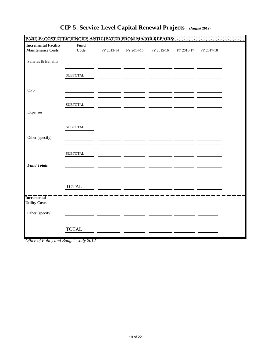| <b>Incremental Facility</b>                | Fund             |            |            |            |            |            |  |
|--------------------------------------------|------------------|------------|------------|------------|------------|------------|--|
| <b>Maintenance Costs</b>                   | Code             | FY 2013-14 | FY 2014-15 | FY 2015-16 | FY 2016-17 | FY 2017-18 |  |
| Salaries & Benefits                        |                  |            |            |            |            |            |  |
|                                            | ${\tt SUBTOTAL}$ |            |            |            |            |            |  |
| <b>OPS</b>                                 |                  |            |            |            |            |            |  |
|                                            | <b>SUBTOTAL</b>  |            |            |            |            |            |  |
| Expenses                                   |                  |            |            |            |            |            |  |
|                                            | <b>SUBTOTAL</b>  |            |            |            |            |            |  |
| Other (specify)                            |                  |            |            |            |            |            |  |
|                                            | <b>SUBTOTAL</b>  |            |            |            |            |            |  |
| <b>Fund Totals</b>                         |                  |            |            |            |            |            |  |
|                                            |                  |            |            |            |            |            |  |
|                                            | <b>TOTAL</b>     |            |            |            |            |            |  |
| <b>Incremental</b><br><b>Utility Costs</b> |                  |            |            |            |            |            |  |
| Other (specify)                            |                  |            |            |            |            |            |  |
|                                            | <b>TOTAL</b>     |            |            |            |            |            |  |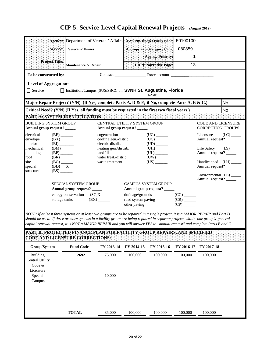|                                                                                                                                                                                                                                                                                                                                                                                                |                                                                                                                                        |                                      | Agency: Department of Veterans' Affairs : LAS/PBS Budget Entity Code:    |                                                        |                                                       | 50100100                                                     |                                                       |                         |  |  |  |
|------------------------------------------------------------------------------------------------------------------------------------------------------------------------------------------------------------------------------------------------------------------------------------------------------------------------------------------------------------------------------------------------|----------------------------------------------------------------------------------------------------------------------------------------|--------------------------------------|--------------------------------------------------------------------------|--------------------------------------------------------|-------------------------------------------------------|--------------------------------------------------------------|-------------------------------------------------------|-------------------------|--|--|--|
| Service:<br><b>Veterans' Homes</b>                                                                                                                                                                                                                                                                                                                                                             |                                                                                                                                        |                                      |                                                                          | Appropriation Category Code:                           | 080859                                                |                                                              |                                                       |                         |  |  |  |
|                                                                                                                                                                                                                                                                                                                                                                                                |                                                                                                                                        |                                      |                                                                          |                                                        | <b>Agency Priority:</b>                               | 1                                                            |                                                       |                         |  |  |  |
| Project Title:<br>Maintenance & Repair                                                                                                                                                                                                                                                                                                                                                         |                                                                                                                                        |                                      |                                                                          |                                                        | LRPP Narrative Page:                                  | 13                                                           |                                                       |                         |  |  |  |
| To be constructed by:                                                                                                                                                                                                                                                                                                                                                                          |                                                                                                                                        |                                      |                                                                          |                                                        |                                                       |                                                              |                                                       |                         |  |  |  |
| <b>Level of Aggregation:</b>                                                                                                                                                                                                                                                                                                                                                                   |                                                                                                                                        |                                      |                                                                          |                                                        |                                                       |                                                              |                                                       |                         |  |  |  |
| □ Institution/Campus (SUS/SBCC onl SVNH St. Augustine, Florida<br>$\Box$ Service<br><b>NAME</b>                                                                                                                                                                                                                                                                                                |                                                                                                                                        |                                      |                                                                          |                                                        |                                                       |                                                              |                                                       |                         |  |  |  |
| Major Repair Project? (Y/N) (If <u>Yes,</u> complete Parts A, D & E; if <u>No,</u> complete Parts A, B & C.)<br>No                                                                                                                                                                                                                                                                             |                                                                                                                                        |                                      |                                                                          |                                                        |                                                       |                                                              |                                                       |                         |  |  |  |
|                                                                                                                                                                                                                                                                                                                                                                                                | Critical Need? (Y/N) (If Yes, all funding must be requested in the first two fiscal years.)<br>No                                      |                                      |                                                                          |                                                        |                                                       |                                                              |                                                       |                         |  |  |  |
|                                                                                                                                                                                                                                                                                                                                                                                                |                                                                                                                                        |                                      | PART A: SYSTEM IDENTIFICATION                                            |                                                        |                                                       |                                                              |                                                       |                         |  |  |  |
| <b>BUILDING SYSTEM GROUP</b><br>Annual group request? _____                                                                                                                                                                                                                                                                                                                                    |                                                                                                                                        |                                      | CENTRAL UTILITY SYSTEM GROUP<br>Annual group request? _____              |                                                        |                                                       |                                                              | <b>CODE AND LICENSURE</b><br><b>CORRECTION GROUPS</b> |                         |  |  |  |
| $(BE)$ <sub>_______</sub><br>electrical<br>envelope<br>$(BX)$ <sub>_______</sub><br>interior                                                                                                                                                                                                                                                                                                   |                                                                                                                                        |                                      | cogeneration<br>cooling gen./distrib.                                    |                                                        | $(UG)$ <sub>_______</sub><br>$(UC)$ <sub>______</sub> |                                                              | Licensure<br>Annual request? _____                    | $(LC)$ <sub>_____</sub> |  |  |  |
| mechanical<br>plumbing                                                                                                                                                                                                                                                                                                                                                                         | electric distrib.<br>(BI)<br>$(BM)$ <sub>_____</sub><br>heating gen./distrib.<br>Life Safety<br>$(UL)$ <sub>________</sub><br>landfill |                                      |                                                                          |                                                        |                                                       |                                                              | Annual request? _____                                 | $(LS)$ <sub>_____</sub> |  |  |  |
| roof<br>site<br>special                                                                                                                                                                                                                                                                                                                                                                        | $(BR)$ <sub>______</sub><br>$(BG)$ <sub>______</sub><br>$(BD)$ _ X                                                                     |                                      | water treat./distrib.<br>waste treatment                                 |                                                        | $(US)$ <sub>_______</sub>                             |                                                              | Handicapped (LH) _____<br>Annual request? _____       |                         |  |  |  |
| structural                                                                                                                                                                                                                                                                                                                                                                                     | SPECIAL SYSTEM GROUP<br><b>CAMPUS SYSTEM GROUP</b><br>Annual group request? _____<br>Annual group request? _____                       |                                      |                                                                          |                                                        |                                                       |                                                              | Environmental (LE) _____<br>Annual request? _____     |                         |  |  |  |
|                                                                                                                                                                                                                                                                                                                                                                                                | storage tanks                                                                                                                          | energy conservation (SC <sub>X</sub> | $(BX)$ <sub>______</sub>                                                 | drainage/grounds<br>road system paving<br>other paving |                                                       | (CG)<br>$(CR)$ <sub>______</sub><br>$(CP)$ <sub>______</sub> |                                                       |                         |  |  |  |
| NOTE: If at least three systems or at least two groups are to be repaired in a single project, it is a MAJOR REPAIR and Part D<br>should be used. If three or more systems in a facility group are being repaired in separate projects within one group's general<br>capital renewal request, it is NOT a MAJOR REPAIR and you will answer YES to "annual request" and complete Parts B and C. |                                                                                                                                        |                                      |                                                                          |                                                        |                                                       |                                                              |                                                       |                         |  |  |  |
| <b>CODE AND LICENSURE CORRECTIONS:</b>                                                                                                                                                                                                                                                                                                                                                         |                                                                                                                                        |                                      | PART B: PROTECTED FINANCE PLAN FOR FACILITY GROUP REPAIRS. AND SPECIFIED |                                                        |                                                       |                                                              |                                                       |                         |  |  |  |
| Group/System                                                                                                                                                                                                                                                                                                                                                                                   |                                                                                                                                        | <b>Fund Code</b>                     | FY 2013-14                                                               | FY 2014-15                                             | FY 2015-16                                            | FY 2016-17                                                   | FY 2017-18                                            |                         |  |  |  |
| Building<br><b>Central Utility</b><br>Code &<br>Licensure                                                                                                                                                                                                                                                                                                                                      |                                                                                                                                        | 2692                                 | 75,000                                                                   | 100,000                                                | 100,000                                               | 100,000                                                      | 100,000                                               |                         |  |  |  |
| Special<br>Campus                                                                                                                                                                                                                                                                                                                                                                              |                                                                                                                                        |                                      | 10,000                                                                   |                                                        |                                                       |                                                              |                                                       |                         |  |  |  |
|                                                                                                                                                                                                                                                                                                                                                                                                |                                                                                                                                        | <b>TOTAL</b>                         | 85,000                                                                   | 100,000                                                | 100,000                                               | 100,000                                                      | 100,000                                               |                         |  |  |  |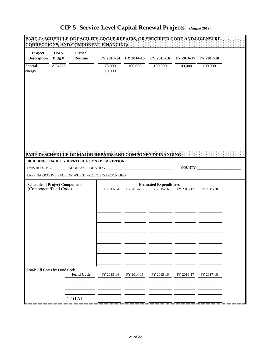| Project<br><b>Description</b>         | <b>DMS</b><br>Bldg.# | <b>Critical</b><br>Routine | FY 2013-14                                                                                                     | FY 2014-15 | FY 2015-16                    | FY 2016-17 FY 2017-18 |            |  |
|---------------------------------------|----------------------|----------------------------|----------------------------------------------------------------------------------------------------------------|------------|-------------------------------|-----------------------|------------|--|
| Special<br>energy                     | AO4823               |                            | 75,000<br>10,000                                                                                               | 100,000    | 100,000                       | 100,000               | 100,000    |  |
|                                       |                      |                            |                                                                                                                |            |                               |                       |            |  |
|                                       |                      |                            |                                                                                                                |            |                               |                       |            |  |
|                                       |                      |                            |                                                                                                                |            |                               |                       |            |  |
|                                       |                      |                            | PART D: SCHEDULE OF MAJOR REPAIRS AND COMPONENT FINANCING:<br>BUILDING / FACILITY IDENTIFICATION / DESCRIPTION |            |                               |                       |            |  |
|                                       |                      |                            |                                                                                                                |            |                               |                       | COUNTY     |  |
|                                       |                      |                            | LRPP NARRATIVE PAGE ON WHICH PROJECT IS DESCRIBED ___                                                          |            |                               |                       |            |  |
| <b>Schedule of Project Components</b> |                      |                            |                                                                                                                |            | <b>Estimated Expenditures</b> |                       |            |  |
| (Component/Fund Code)                 |                      |                            | FY 2013-14                                                                                                     | FY 2014-15 | FY 2015-16                    | FY 2016-17            | FY 2017-18 |  |
|                                       |                      |                            |                                                                                                                |            |                               |                       |            |  |
|                                       |                      |                            |                                                                                                                |            |                               |                       |            |  |
|                                       |                      |                            |                                                                                                                |            |                               |                       |            |  |
|                                       |                      |                            |                                                                                                                |            |                               |                       |            |  |
|                                       |                      |                            |                                                                                                                |            |                               |                       |            |  |
|                                       |                      |                            |                                                                                                                |            |                               |                       |            |  |
|                                       |                      |                            |                                                                                                                |            |                               |                       |            |  |
|                                       |                      |                            |                                                                                                                |            |                               |                       |            |  |
| Total: All Costs by Fund Code         |                      | <b>Fund Code</b>           | FY 2013-14                                                                                                     | FY 2014-15 | FY 2015-16                    | FY 2016-17            | FY 2017-18 |  |
|                                       |                      |                            |                                                                                                                |            |                               |                       |            |  |